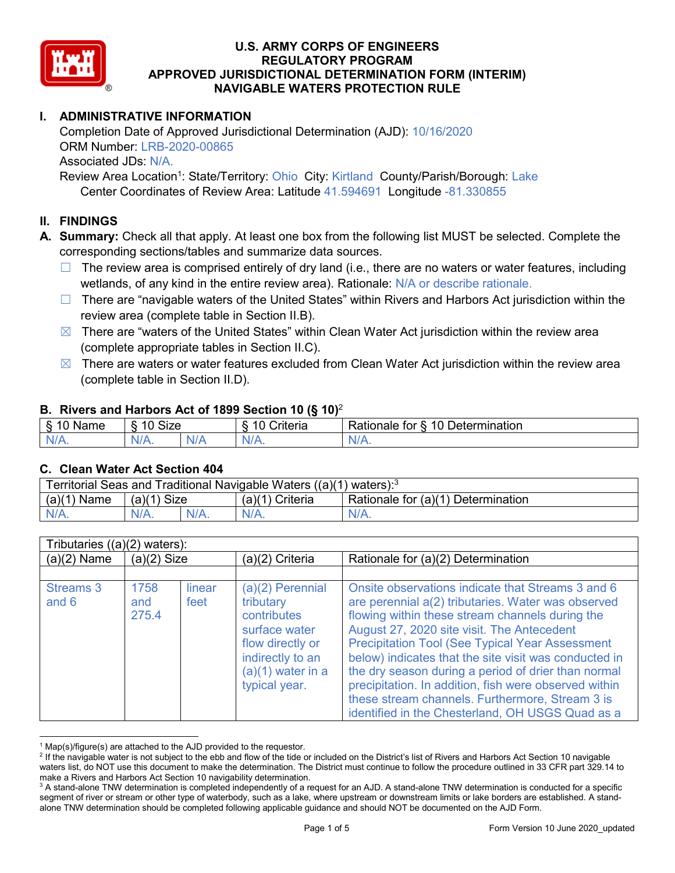

## **I. ADMINISTRATIVE INFORMATION**

Completion Date of Approved Jurisdictional Determination (AJD): 10/16/2020 ORM Number: LRB-2020-00865 Associated JDs: N/A. Review Area Location<sup>1</sup>: State/Territory: Ohio City: Kirtland County/Parish/Borough: Lake

Center Coordinates of Review Area: Latitude 41.594691 Longitude -81.330855

### **II. FINDINGS**

**A. Summary:** Check all that apply. At least one box from the following list MUST be selected. Complete the corresponding sections/tables and summarize data sources.

- $\Box$  The review area is comprised entirely of dry land (i.e., there are no waters or water features, including wetlands, of any kind in the entire review area). Rationale: N/A or describe rationale.
- $\Box$  There are "navigable waters of the United States" within Rivers and Harbors Act jurisdiction within the review area (complete table in Section II.B).
- $\boxtimes$  There are "waters of the United States" within Clean Water Act jurisdiction within the review area (complete appropriate tables in Section II.C).
- $\boxtimes$  There are waters or water features excluded from Clean Water Act jurisdiction within the review area (complete table in Section II.D).

#### **B. Rivers and Harbors Act of 1899 Section 10 (§ 10)**<sup>2</sup>

|                           | . .                  |        |                                                      |                                                 |  |  |  |
|---------------------------|----------------------|--------|------------------------------------------------------|-------------------------------------------------|--|--|--|
| $\sim$<br>$-$<br>ame<br>◡ | 10<br>$\sim$<br>SIZE |        | .<br>10<br>$"$ rıt $\sim$ rı $\sim$<br><b>AILCIT</b> | Determination<br>$\sqrt{ }$<br>Rationale<br>tor |  |  |  |
| $N/A$ .                   | 1M/<br>97 / TV .     | w<br>. | $N/A$ .                                              | $N_{\ell}$<br>$\mathbf{v}$                      |  |  |  |

#### **C. Clean Water Act Section 404**

| Territorial Seas and Traditional Navigable Waters ((a)(1) waters): $^3$ |                |         |                       |                                    |  |
|-------------------------------------------------------------------------|----------------|---------|-----------------------|------------------------------------|--|
| (a)(1)<br>Name                                                          | (a)(1)<br>Size |         | (a)(1)<br>') Criteria | Rationale for (a)(1) Determination |  |
| $N/A$ .                                                                 | $N/A$ .        | $N/A$ . |                       | $N/A$ .                            |  |

| Tributaries $((a)(2)$ waters): |                      |                |                                                                                                                                                 |                                                                                                                                                                                                                                                                                                                                                                                                                                                                                                                                                    |  |  |  |
|--------------------------------|----------------------|----------------|-------------------------------------------------------------------------------------------------------------------------------------------------|----------------------------------------------------------------------------------------------------------------------------------------------------------------------------------------------------------------------------------------------------------------------------------------------------------------------------------------------------------------------------------------------------------------------------------------------------------------------------------------------------------------------------------------------------|--|--|--|
| $(a)(2)$ Name                  | $(a)(2)$ Size        |                | (a)(2) Criteria                                                                                                                                 | Rationale for (a)(2) Determination                                                                                                                                                                                                                                                                                                                                                                                                                                                                                                                 |  |  |  |
|                                |                      |                |                                                                                                                                                 |                                                                                                                                                                                                                                                                                                                                                                                                                                                                                                                                                    |  |  |  |
| <b>Streams 3</b><br>and 6      | 1758<br>and<br>275.4 | linear<br>feet | $(a)(2)$ Perennial<br>tributary<br>contributes<br>surface water<br>flow directly or<br>indirectly to an<br>$(a)(1)$ water in a<br>typical year. | Onsite observations indicate that Streams 3 and 6<br>are perennial a(2) tributaries. Water was observed<br>flowing within these stream channels during the<br>August 27, 2020 site visit. The Antecedent<br><b>Precipitation Tool (See Typical Year Assessment</b><br>below) indicates that the site visit was conducted in<br>the dry season during a period of drier than normal<br>precipitation. In addition, fish were observed within<br>these stream channels. Furthermore, Stream 3 is<br>identified in the Chesterland, OH USGS Quad as a |  |  |  |

 $1$  Map(s)/figure(s) are attached to the AJD provided to the requestor.

<sup>&</sup>lt;sup>2</sup> If the navigable water is not subject to the ebb and flow of the tide or included on the District's list of Rivers and Harbors Act Section 10 navigable waters list, do NOT use this document to make the determination. The District must continue to follow the procedure outlined in 33 CFR part 329.14 to make a Rivers and Harbors Act Section 10 navigability determination.

<sup>&</sup>lt;sup>3</sup> A stand-alone TNW determination is completed independently of a request for an AJD. A stand-alone TNW determination is conducted for a specific segment of river or stream or other type of waterbody, such as a lake, where upstream or downstream limits or lake borders are established. A standalone TNW determination should be completed following applicable guidance and should NOT be documented on the AJD Form.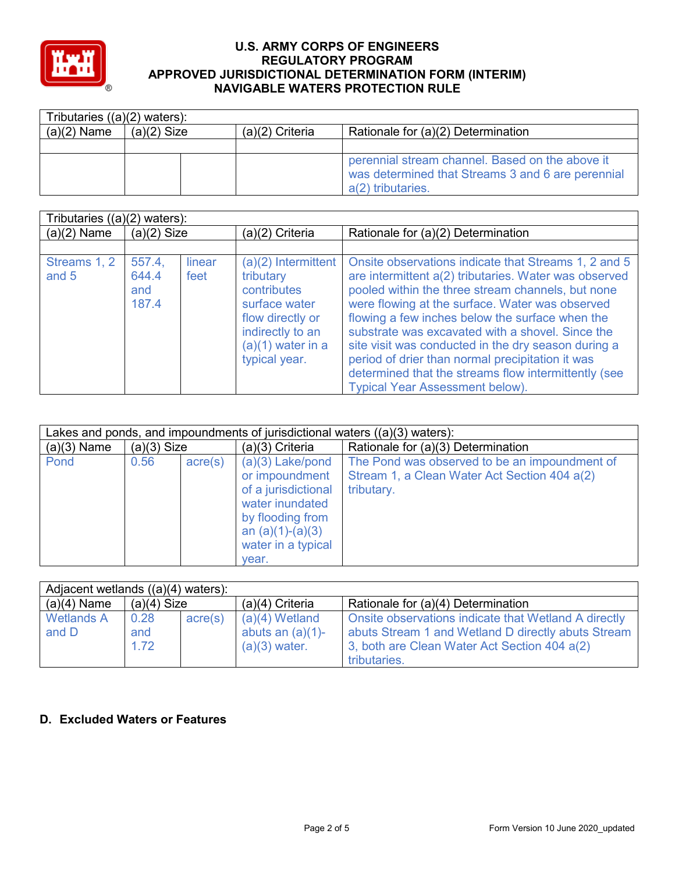

| Tributaries $((a)(2)$ waters): |               |                   |                                                                                                                           |  |  |  |
|--------------------------------|---------------|-------------------|---------------------------------------------------------------------------------------------------------------------------|--|--|--|
| $(a)(2)$ Name                  | $(a)(2)$ Size | $(a)(2)$ Criteria | Rationale for (a)(2) Determination                                                                                        |  |  |  |
|                                |               |                   |                                                                                                                           |  |  |  |
|                                |               |                   | perennial stream channel. Based on the above it<br>was determined that Streams 3 and 6 are perennial<br>a(2) tributaries. |  |  |  |

|                       | Tributaries $((a)(2)$ waters):  |                |                                                                                                                                                  |                                                                                                                                                                                                                                                                                                                                                                                                                                                                                                                                           |  |  |  |  |
|-----------------------|---------------------------------|----------------|--------------------------------------------------------------------------------------------------------------------------------------------------|-------------------------------------------------------------------------------------------------------------------------------------------------------------------------------------------------------------------------------------------------------------------------------------------------------------------------------------------------------------------------------------------------------------------------------------------------------------------------------------------------------------------------------------------|--|--|--|--|
| $(a)(2)$ Name         | $(a)(2)$ Size                   |                | (a)(2) Criteria                                                                                                                                  | Rationale for (a)(2) Determination                                                                                                                                                                                                                                                                                                                                                                                                                                                                                                        |  |  |  |  |
|                       |                                 |                |                                                                                                                                                  |                                                                                                                                                                                                                                                                                                                                                                                                                                                                                                                                           |  |  |  |  |
| Streams 1, 2<br>and 5 | 557.4.<br>644.4<br>and<br>187.4 | linear<br>feet | (a)(2) Intermittent<br>tributary<br>contributes<br>surface water<br>flow directly or<br>indirectly to an<br>$(a)(1)$ water in a<br>typical year. | Onsite observations indicate that Streams 1, 2 and 5<br>are intermittent a(2) tributaries. Water was observed<br>pooled within the three stream channels, but none<br>were flowing at the surface. Water was observed<br>flowing a few inches below the surface when the<br>substrate was excavated with a shovel. Since the<br>site visit was conducted in the dry season during a<br>period of drier than normal precipitation it was<br>determined that the streams flow intermittently (see<br><b>Typical Year Assessment below).</b> |  |  |  |  |

| Lakes and ponds, and impoundments of jurisdictional waters $((a)(3)$ waters): |               |                  |                                                                                                                                                         |                                                                                                             |  |  |
|-------------------------------------------------------------------------------|---------------|------------------|---------------------------------------------------------------------------------------------------------------------------------------------------------|-------------------------------------------------------------------------------------------------------------|--|--|
| $(a)(3)$ Name                                                                 | $(a)(3)$ Size |                  | (a)(3) Criteria                                                                                                                                         | Rationale for (a)(3) Determination                                                                          |  |  |
| Pond                                                                          | 0.56          | $\text{acre}(s)$ | $(a)(3)$ Lake/pond<br>or impoundment<br>of a jurisdictional<br>water inundated<br>by flooding from<br>an $(a)(1)-(a)(3)$<br>water in a typical<br>vear. | The Pond was observed to be an impoundment of<br>Stream 1, a Clean Water Act Section 404 a(2)<br>tributary. |  |  |

| Adjacent wetlands $((a)(4)$ waters): |                     |         |                                                            |                                                                                                                                                                            |  |  |
|--------------------------------------|---------------------|---------|------------------------------------------------------------|----------------------------------------------------------------------------------------------------------------------------------------------------------------------------|--|--|
| $(a)(4)$ Name                        | $(a)(4)$ Size       |         | $(a)(4)$ Criteria                                          | Rationale for (a)(4) Determination                                                                                                                                         |  |  |
| <b>Wetlands A</b><br>and D           | 0.28<br>and<br>1.72 | acre(s) | $(a)(4)$ Wetland<br>abuts an $(a)(1)$ -<br>$(a)(3)$ water. | Onsite observations indicate that Wetland A directly<br>abuts Stream 1 and Wetland D directly abuts Stream<br>3, both are Clean Water Act Section 404 a(2)<br>tributaries. |  |  |

### **D. Excluded Waters or Features**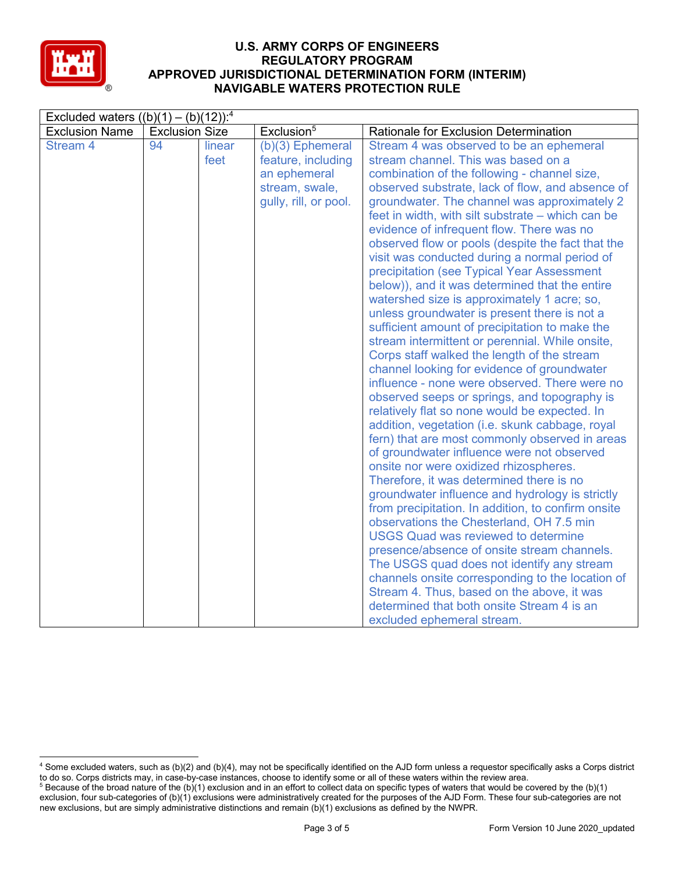

| Excluded waters $((b)(1) - (b)(12))$ : <sup>4</sup> |                       |        |                        |                                                    |  |
|-----------------------------------------------------|-----------------------|--------|------------------------|----------------------------------------------------|--|
| <b>Exclusion Name</b>                               | <b>Exclusion Size</b> |        | Exclusion <sup>5</sup> | Rationale for Exclusion Determination              |  |
| <b>Stream 4</b>                                     | 94                    | linear | $(b)(3)$ Ephemeral     | Stream 4 was observed to be an ephemeral           |  |
|                                                     |                       | feet   | feature, including     | stream channel. This was based on a                |  |
|                                                     |                       |        | an ephemeral           | combination of the following - channel size,       |  |
|                                                     |                       |        | stream, swale,         | observed substrate, lack of flow, and absence of   |  |
|                                                     |                       |        | gully, rill, or pool.  | groundwater. The channel was approximately 2       |  |
|                                                     |                       |        |                        | feet in width, with silt substrate – which can be  |  |
|                                                     |                       |        |                        | evidence of infrequent flow. There was no          |  |
|                                                     |                       |        |                        | observed flow or pools (despite the fact that the  |  |
|                                                     |                       |        |                        | visit was conducted during a normal period of      |  |
|                                                     |                       |        |                        | precipitation (see Typical Year Assessment         |  |
|                                                     |                       |        |                        | below)), and it was determined that the entire     |  |
|                                                     |                       |        |                        | watershed size is approximately 1 acre; so,        |  |
|                                                     |                       |        |                        | unless groundwater is present there is not a       |  |
|                                                     |                       |        |                        | sufficient amount of precipitation to make the     |  |
|                                                     |                       |        |                        | stream intermittent or perennial. While onsite,    |  |
|                                                     |                       |        |                        | Corps staff walked the length of the stream        |  |
|                                                     |                       |        |                        | channel looking for evidence of groundwater        |  |
|                                                     |                       |        |                        | influence - none were observed. There were no      |  |
|                                                     |                       |        |                        | observed seeps or springs, and topography is       |  |
|                                                     |                       |        |                        | relatively flat so none would be expected. In      |  |
|                                                     |                       |        |                        | addition, vegetation (i.e. skunk cabbage, royal    |  |
|                                                     |                       |        |                        | fern) that are most commonly observed in areas     |  |
|                                                     |                       |        |                        | of groundwater influence were not observed         |  |
|                                                     |                       |        |                        | onsite nor were oxidized rhizospheres.             |  |
|                                                     |                       |        |                        | Therefore, it was determined there is no           |  |
|                                                     |                       |        |                        | groundwater influence and hydrology is strictly    |  |
|                                                     |                       |        |                        | from precipitation. In addition, to confirm onsite |  |
|                                                     |                       |        |                        | observations the Chesterland, OH 7.5 min           |  |
|                                                     |                       |        |                        | <b>USGS Quad was reviewed to determine</b>         |  |
|                                                     |                       |        |                        | presence/absence of onsite stream channels.        |  |
|                                                     |                       |        |                        | The USGS quad does not identify any stream         |  |
|                                                     |                       |        |                        | channels onsite corresponding to the location of   |  |
|                                                     |                       |        |                        | Stream 4. Thus, based on the above, it was         |  |
|                                                     |                       |        |                        | determined that both onsite Stream 4 is an         |  |
|                                                     |                       |        |                        | excluded ephemeral stream.                         |  |

 <sup>4</sup> Some excluded waters, such as (b)(2) and (b)(4), may not be specifically identified on the AJD form unless a requestor specifically asks a Corps district to do so. Corps districts may, in case-by-case instances, choose to identify some or all of these waters within the review area.

<sup>&</sup>lt;sup>5</sup> Because of the broad nature of the (b)(1) exclusion and in an effort to collect data on specific types of waters that would be covered by the (b)(1) exclusion, four sub-categories of (b)(1) exclusions were administratively created for the purposes of the AJD Form. These four sub-categories are not new exclusions, but are simply administrative distinctions and remain (b)(1) exclusions as defined by the NWPR.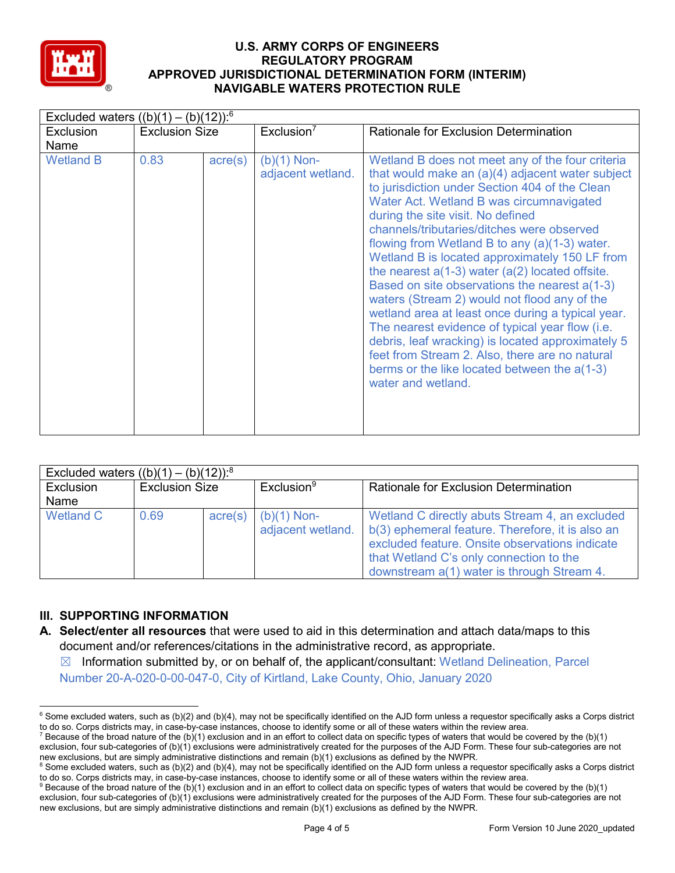

|                  | Excluded waters $((b)(1) - (b)(12))$ : <sup>6</sup> |                  |                                    |                                                                                                                                                                                                                                                                                                                                                                                                                                                                                                                                                                                                                                                                                                                                                                                                                                         |  |  |  |
|------------------|-----------------------------------------------------|------------------|------------------------------------|-----------------------------------------------------------------------------------------------------------------------------------------------------------------------------------------------------------------------------------------------------------------------------------------------------------------------------------------------------------------------------------------------------------------------------------------------------------------------------------------------------------------------------------------------------------------------------------------------------------------------------------------------------------------------------------------------------------------------------------------------------------------------------------------------------------------------------------------|--|--|--|
| Exclusion        | <b>Exclusion Size</b>                               |                  | Exclusion <sup>7</sup>             | <b>Rationale for Exclusion Determination</b>                                                                                                                                                                                                                                                                                                                                                                                                                                                                                                                                                                                                                                                                                                                                                                                            |  |  |  |
| Name             |                                                     |                  |                                    |                                                                                                                                                                                                                                                                                                                                                                                                                                                                                                                                                                                                                                                                                                                                                                                                                                         |  |  |  |
| <b>Wetland B</b> | 0.83                                                | $\text{acre}(s)$ | $(b)(1)$ Non-<br>adjacent wetland. | Wetland B does not meet any of the four criteria<br>that would make an $(a)(4)$ adjacent water subject<br>to jurisdiction under Section 404 of the Clean<br>Water Act. Wetland B was circumnavigated<br>during the site visit. No defined<br>channels/tributaries/ditches were observed<br>flowing from Wetland B to any (a)(1-3) water.<br>Wetland B is located approximately 150 LF from<br>the nearest $a(1-3)$ water $(a(2)$ located offsite.<br>Based on site observations the nearest a(1-3)<br>waters (Stream 2) would not flood any of the<br>wetland area at least once during a typical year.<br>The nearest evidence of typical year flow (i.e.<br>debris, leaf wracking) is located approximately 5<br>feet from Stream 2. Also, there are no natural<br>berms or the like located between the a(1-3)<br>water and wetland. |  |  |  |

| Excluded waters $((b)(1) - (b)(12))$ : <sup>8</sup> |                       |                  |                                    |                                                                                                                                                                                                                                               |
|-----------------------------------------------------|-----------------------|------------------|------------------------------------|-----------------------------------------------------------------------------------------------------------------------------------------------------------------------------------------------------------------------------------------------|
| Exclusion                                           | <b>Exclusion Size</b> |                  | Exclusion <sup>9</sup>             | <b>Rationale for Exclusion Determination</b>                                                                                                                                                                                                  |
| Name                                                |                       |                  |                                    |                                                                                                                                                                                                                                               |
| Wetland C                                           | 0.69                  | $\text{acre}(s)$ | $(b)(1)$ Non-<br>adjacent wetland. | Wetland C directly abuts Stream 4, an excluded<br>b(3) ephemeral feature. Therefore, it is also an<br>excluded feature. Onsite observations indicate<br>that Wetland C's only connection to the<br>downstream a(1) water is through Stream 4. |

# **III. SUPPORTING INFORMATION**

- **A. Select/enter all resources** that were used to aid in this determination and attach data/maps to this document and/or references/citations in the administrative record, as appropriate.
	- $\boxtimes$  Information submitted by, or on behalf of, the applicant/consultant: Wetland Delineation, Parcel Number 20-A-020-0-00-047-0, City of Kirtland, Lake County, Ohio, January 2020

 $6$  Some excluded waters, such as (b)(2) and (b)(4), may not be specifically identified on the AJD form unless a requestor specifically asks a Corps district to do so. Corps districts may, in case-by-case instances, choose to identify some or all of these waters within the review area.

<sup>&</sup>lt;sup>7</sup> Because of the broad nature of the (b)(1) exclusion and in an effort to collect data on specific types of waters that would be covered by the (b)(1) exclusion, four sub-categories of (b)(1) exclusions were administratively created for the purposes of the AJD Form. These four sub-categories are not new exclusions, but are simply administrative distinctions and remain (b)(1) exclusions as defined by the NWPR.

<sup>&</sup>lt;sup>8</sup> Some excluded waters, such as (b)(2) and (b)(4), may not be specifically identified on the AJD form unless a requestor specifically asks a Corps district to do so. Corps districts may, in case-by-case instances, choose to identify some or all of these waters within the review area.

<sup>9</sup> Because of the broad nature of the (b)(1) exclusion and in an effort to collect data on specific types of waters that would be covered by the (b)(1) exclusion, four sub-categories of (b)(1) exclusions were administratively created for the purposes of the AJD Form. These four sub-categories are not new exclusions, but are simply administrative distinctions and remain (b)(1) exclusions as defined by the NWPR.